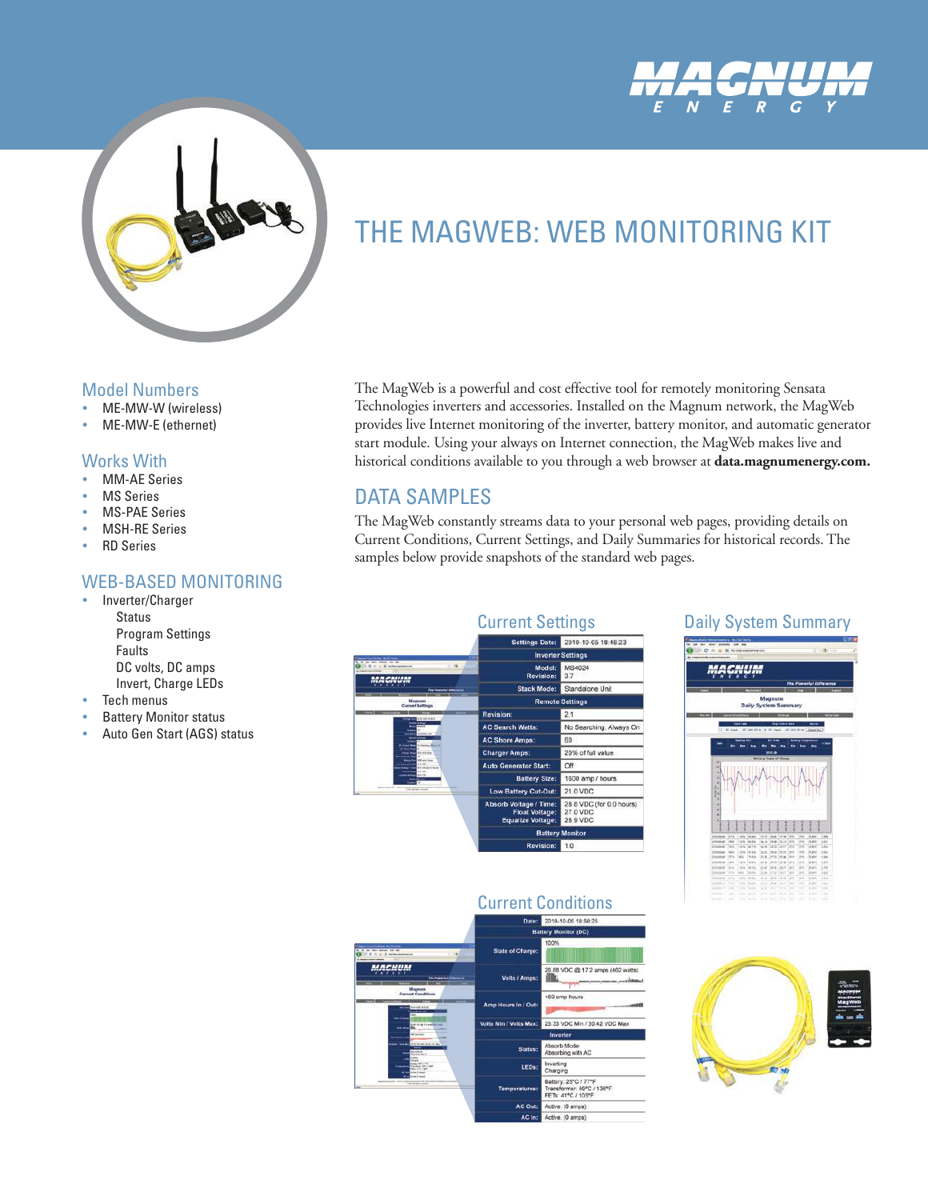



# THE MAGWEB: WEB MONITORING KIT

The MagWeb is a powerful and cost effective tool for remotely monitoring Sensata Technologies inverters and accessories. Installed on the Magnum network, the MagWeb provides live Internet monitoring of the inverter, battery monitor, and automatic generator start module. Using your always on Internet connection, the MagWeb makes live and historical conditions available to you through a web browser at **data.magnumenergy.com.** 

### DATA SAMPLES

The MagWeb constantly streams data to your personal web pages, providing details on Current Conditions, Current Settings, and Daily Summaries for historical records. The samples below provide snapshots of the standard web pages.



### Daily System Summary



## Current Conditions





#### Model Numbers

- ME-MW-W (wireless)
- ME-MW-E (ethernet)

### Works With

- **MM-AE Series**
- **MS Series**
- **MS-PAE Series**
- **MSH-RE Series**
- RD Series

### WEB-BASED MONITORING

- Inverter/Charger **Status**  Program Settings Faults DC volts, DC amps Invert, Charge LEDs
- **Tech menus**
- **Battery Monitor status**
- Auto Gen Start (AGS) status